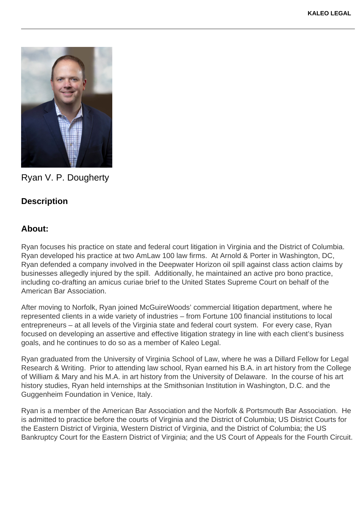

Ryan V. P. Dougherty

## **Description**

## **About:**

Ryan focuses his practice on state and federal court litigation in Virginia and the District of Columbia. Ryan developed his practice at two AmLaw 100 law firms. At Arnold & Porter in Washington, DC, Ryan defended a company involved in the Deepwater Horizon oil spill against class action claims by businesses allegedly injured by the spill. Additionally, he maintained an active pro bono practice, including co-drafting an amicus curiae brief to the United States Supreme Court on behalf of the American Bar Association.

After moving to Norfolk, Ryan joined McGuireWoods' commercial litigation department, where he represented clients in a wide variety of industries – from Fortune 100 financial institutions to local entrepreneurs – at all levels of the Virginia state and federal court system. For every case, Ryan focused on developing an assertive and effective litigation strategy in line with each client's business goals, and he continues to do so as a member of Kaleo Legal.

Ryan graduated from the University of Virginia School of Law, where he was a Dillard Fellow for Legal Research & Writing. Prior to attending law school, Ryan earned his B.A. in art history from the College of William & Mary and his M.A. in art history from the University of Delaware. In the course of his art history studies, Ryan held internships at the Smithsonian Institution in Washington, D.C. and the Guggenheim Foundation in Venice, Italy.

Ryan is a member of the American Bar Association and the Norfolk & Portsmouth Bar Association. He is admitted to practice before the courts of Virginia and the District of Columbia; US District Courts for the Eastern District of Virginia, Western District of Virginia, and the District of Columbia; the US Bankruptcy Court for the Eastern District of Virginia; and the US Court of Appeals for the Fourth Circuit.